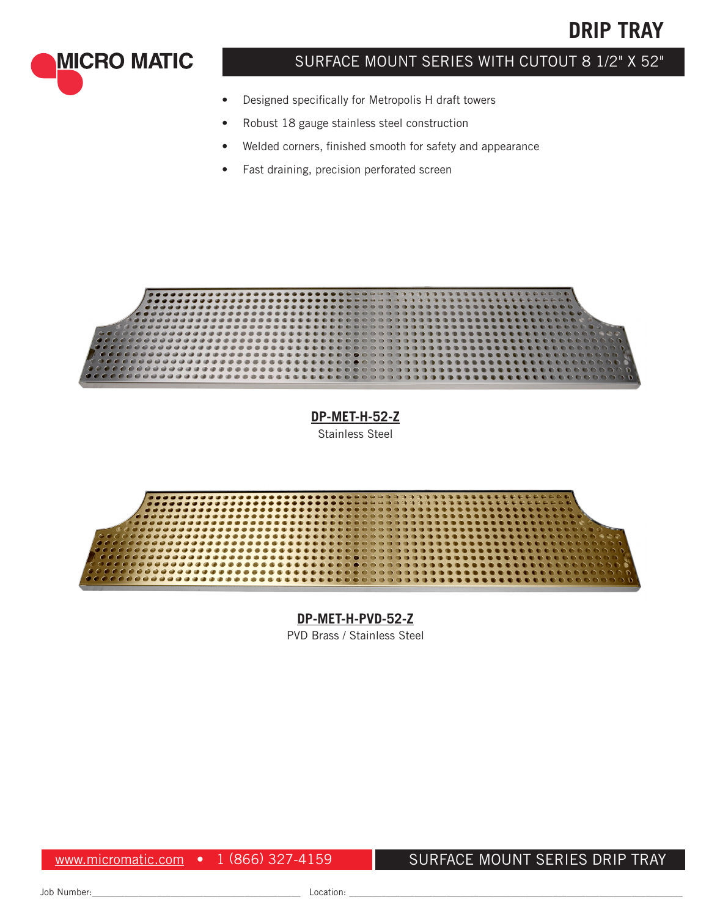



# SURFACE MOUNT SERIES WITH CUTOUT 8 1/2" X 52"

- Designed specifically for Metropolis H draft towers
- Robust 18 gauge stainless steel construction
- Welded corners, finished smooth for safety and appearance
- Fast draining, precision perforated screen



**[DP-MET-H-52-Z](http://www.micromatic.com/stainless-steel/52-inch-stainless-steel-surface-mount-drain-tray-w-drain-dp-met-h-52-z)** Stainless Steel



### **DP-MET-H-PVD-52-Z**

PVD Brass / Stainless Steel

www.micromatic.com • 1 (866) 327-4159

## SURFACE MOUNT SERIES DRIP TRAY